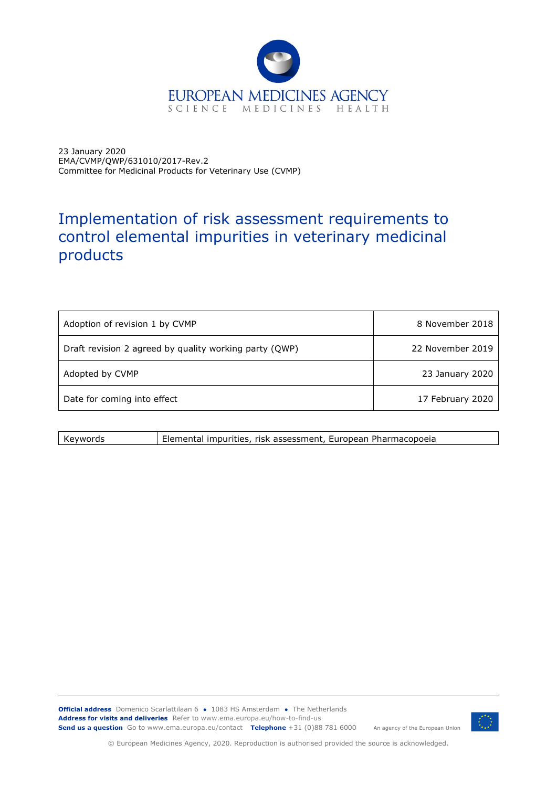

23 January 2020 EMA/CVMP/QWP/631010/2017-Rev.2 Committee for Medicinal Products for Veterinary Use (CVMP)

## Implementation of risk assessment requirements to control elemental impurities in veterinary medicinal products

| Adoption of revision 1 by CVMP                         | 8 November 2018  |
|--------------------------------------------------------|------------------|
| Draft revision 2 agreed by quality working party (QWP) | 22 November 2019 |
| Adopted by CVMP                                        | 23 January 2020  |
| Date for coming into effect                            | 17 February 2020 |

| Kevwords | Elemental impurities, risk assessment, European Pharmacopoeia |
|----------|---------------------------------------------------------------|
|          |                                                               |

**Official address** Domenico Scarlattilaan 6 **●** 1083 HS Amsterdam **●** The Netherlands An agency of the European Union **Address for visits and deliveries** Refer to www.ema.europa.eu/how-to-find-us **Send us a question** Go to www.ema.europa.eu/contact **Telephone** +31 (0)88 781 6000



© European Medicines Agency, 2020. Reproduction is authorised provided the source is acknowledged.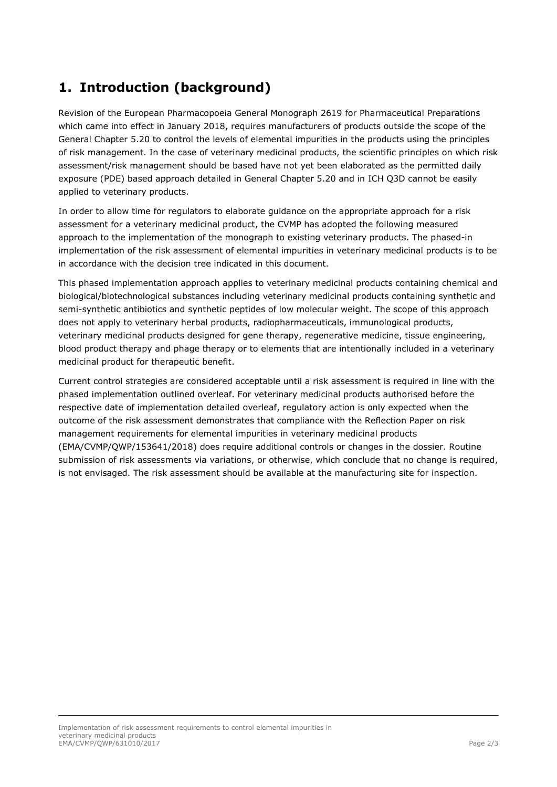## **1. Introduction (background)**

Revision of the European Pharmacopoeia General Monograph 2619 for Pharmaceutical Preparations which came into effect in January 2018, requires manufacturers of products outside the scope of the General Chapter 5.20 to control the levels of elemental impurities in the products using the principles of risk management. In the case of veterinary medicinal products, the scientific principles on which risk assessment/risk management should be based have not yet been elaborated as the permitted daily exposure (PDE) based approach detailed in General Chapter 5.20 and in ICH Q3D cannot be easily applied to veterinary products.

In order to allow time for regulators to elaborate guidance on the appropriate approach for a risk assessment for a veterinary medicinal product, the CVMP has adopted the following measured approach to the implementation of the monograph to existing veterinary products. The phased-in implementation of the risk assessment of elemental impurities in veterinary medicinal products is to be in accordance with the decision tree indicated in this document.

This phased implementation approach applies to veterinary medicinal products containing chemical and biological/biotechnological substances including veterinary medicinal products containing synthetic and semi-synthetic antibiotics and synthetic peptides of low molecular weight. The scope of this approach does not apply to veterinary herbal products, radiopharmaceuticals, immunological products, veterinary medicinal products designed for gene therapy, regenerative medicine, tissue engineering, blood product therapy and phage therapy or to elements that are intentionally included in a veterinary medicinal product for therapeutic benefit.

Current control strategies are considered acceptable until a risk assessment is required in line with the phased implementation outlined overleaf. For veterinary medicinal products authorised before the respective date of implementation detailed overleaf, regulatory action is only expected when the outcome of the risk assessment demonstrates that compliance with the Reflection Paper on risk management requirements for elemental impurities in veterinary medicinal products (EMA/CVMP/QWP/153641/2018) does require additional controls or changes in the dossier. Routine submission of risk assessments via variations, or otherwise, which conclude that no change is required, is not envisaged. The risk assessment should be available at the manufacturing site for inspection.